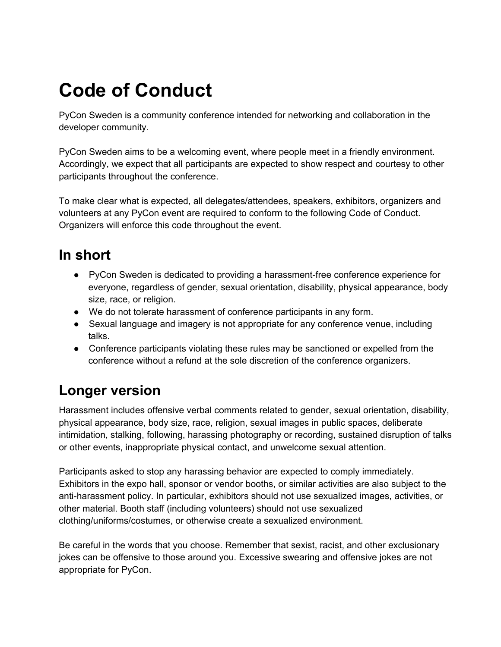## **Code of Conduct**

PyCon Sweden is a community conference intended for networking and collaboration in the developer community.

PyCon Sweden aims to be a welcoming event, where people meet in a friendly environment. Accordingly, we expect that all participants are expected to show respect and courtesy to other participants throughout the conference.

To make clear what is expected, all delegates/attendees, speakers, exhibitors, organizers and volunteers at any PyCon event are required to conform to the following Code of Conduct. Organizers will enforce this code throughout the event.

## **In short**

- PyCon Sweden is dedicated to providing a harassment-free conference experience for everyone, regardless of gender, sexual orientation, disability, physical appearance, body size, race, or religion.
- We do not tolerate harassment of conference participants in any form.
- Sexual language and imagery is not appropriate for any conference venue, including talks.
- Conference participants violating these rules may be sanctioned or expelled from the conference without a refund at the sole discretion of the conference organizers.

## **Longer version**

Harassment includes offensive verbal comments related to gender, sexual orientation, disability, physical appearance, body size, race, religion, sexual images in public spaces, deliberate intimidation, stalking, following, harassing photography or recording, sustained disruption of talks or other events, inappropriate physical contact, and unwelcome sexual attention.

Participants asked to stop any harassing behavior are expected to comply immediately. Exhibitors in the expo hall, sponsor or vendor booths, or similar activities are also subject to the anti-harassment policy. In particular, exhibitors should not use sexualized images, activities, or other material. Booth staff (including volunteers) should not use sexualized clothing/uniforms/costumes, or otherwise create a sexualized environment.

Be careful in the words that you choose. Remember that sexist, racist, and other exclusionary jokes can be offensive to those around you. Excessive swearing and offensive jokes are not appropriate for PyCon.